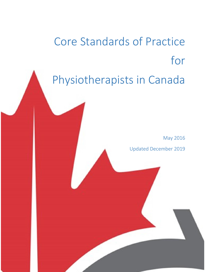Core Standards of Practice for Physiotherapists in Canada

May 2016

Updated December 2019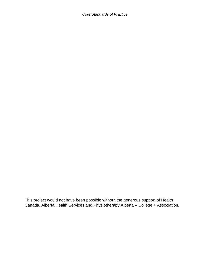*Core Standards of Practice* 

This project would not have been possible without the generous support of Health Canada, Alberta Health Services and Physiotherapy Alberta – College + Association.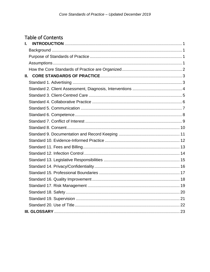# **Table of Contents**

| L. |  |
|----|--|
|    |  |
|    |  |
|    |  |
|    |  |
|    |  |
|    |  |
|    |  |
|    |  |
|    |  |
|    |  |
|    |  |
|    |  |
|    |  |
|    |  |
|    |  |
|    |  |
|    |  |
|    |  |
|    |  |
|    |  |
|    |  |
|    |  |
|    |  |
|    |  |
|    |  |
|    |  |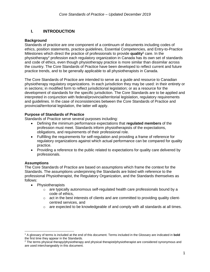# <span id="page-3-0"></span>**I. INTRODUCTION**

#### <span id="page-3-1"></span>**Background**

Standards of practice are one component of a continuum of documents including codes of ethics, position statements, practice guidelines, Essential Competencies, and Entry-to-Practice Milestones which direct the practice of professionals to provide **quality<sup>1</sup>** care. In the physiotherapy<sup>2</sup> profession each regulatory organization in Canada has its own set of standards and code of ethics, even though physiotherapy practice is more similar than dissimilar across the country. The Core Standards of Practice have been developed to reflect current and future practice trends, and to be generally applicable to all physiotherapists in Canada.

The Core Standards of Practice are intended to serve as a guide and resource to Canadian physiotherapy regulatory organizations. In each jurisdiction they may be used: in their entirety or in sections; in modified form to reflect jurisdictional legislation; or as a resource for the development of standards for the specific jurisdiction. The Core Standards are to be applied and interpreted in conjunction with federal/provincial/territorial legislation, regulatory requirements and guidelines. In the case of inconsistencies between the Core Standards of Practice and provincial/territorial legislation, the latter will apply.

### <span id="page-3-2"></span>**Purpose of Standards of Practice**

Standards of Practice serve several purposes including:

- Defining the minimum performance expectations that **regulated members** of the profession must meet. Standards inform physiotherapists of the expectations, obligations, and requirements of their professional role.
- Fulfilling the requirements for self-regulation and providing a frame of reference for regulatory organizations against which actual performance can be compared for quality practice.
- Providing a reference to the public related to expectations for quality care delivered by professionals.

# <span id="page-3-3"></span>**Assumptions**

 $\overline{a}$ 

The Core Standards of Practice are based on assumptions which frame the context for the Standards. The assumptions underpinning the Standards are listed with reference to the professional Physiotherapist, the Regulatory Organization, and the Standards themselves as follows:

- Physiotherapists
	- $\circ$  are typically autonomous self-regulated health care professionals bound by a code of ethics,
	- $\circ$  act in the best interests of clients and are committed to providing quality clientcentred services, and
	- $\circ$  are expected to be knowledgeable of and comply with all standards at all times.

<sup>1</sup> A glossary of terms is included at the end of this document. Terms included in the Glossary are indicated in **bold**  the first time they appear in the Standards.

<sup>&</sup>lt;sup>2</sup> The terms physical therapy/physiotherapy and physical therapist/physiotherapist are considered synonymous and are used interchangeably in this document.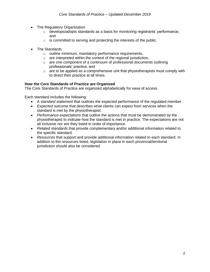- The Regulatory Organization
	- $\circ$  develops/adopts standards as a basis for monitoring registrants' performance, and
	- $\circ$  is committed to serving and protecting the interests of the public.
- The Standards
	- o outline minimum, mandatory performance requirements,
	- $\circ$  are interpreted within the context of the regional jurisdiction,
	- o are one component of a continuum of professional documents outlining professionals' practice, and
	- $\circ$  are to be applied as a comprehensive unit that physiotherapists must comply with to direct their practice at all times.

### <span id="page-4-0"></span>**How the Core Standards of Practice are Organized**

The Core Standards of Practice are organized alphabetically for ease of access.

Each standard includes the following:

- A *standard statement* that outlines the expected performance of the regulated member.
- *Expected outcome* that describes what clients can expect from services when the standard is met by the physiotherapist.
- *Performance expectations* that outline the actions that must be demonstrated by the physiotherapist to indicate how the standard is met in practice. The expectations are not all inclusive nor are they listed in order of importance.
- *Related standards* that provide complementary and/or additional information related to the specific standard.
- *Resources* that support and provide additional information related to each standard. In addition to the resources listed, legislation in place in each provincial/territorial jurisdiction should also be considered.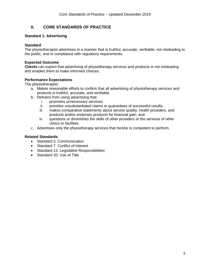# <span id="page-5-0"></span>**II. CORE STANDARDS OF PRACTICE**

# <span id="page-5-1"></span>**Standard 1. Advertising**

### **Standard**

The physiotherapist advertises in a manner that is truthful, accurate, verifiable, not misleading to the public, and in compliance with regulatory requirements.

### **Expected Outcome**

**Clients** can expect that advertising of physiotherapy services and products is not misleading and enables them to make informed choices.

### **Performance Expectations**

The physiotherapist:

- a. Makes reasonable efforts to confirm that all advertising of physiotherapy services and products is truthful, accurate, and verifiable.
- b. Refrains from using advertising that:
	- i. promotes unnecessary services;
	- ii. provides unsubstantiated claims or guarantees of successful results;
	- iii. makes comparative statements about service quality, health providers, and products and/or endorses products for financial gain; and
	- iv. questions or diminishes the skills of other providers or the services of other clinics or facilities.
- c. Advertises only the physiotherapy services that he/she is competent to perform.

- Standard 5. Communication
- Standard 7. Conflict of Interest
- Standard 13. Legislative Responsibilities
- <span id="page-5-2"></span>• Standard 20. Use of Title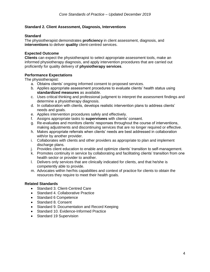### **Standard 2. Client Assessment, Diagnosis, Interventions**

#### **Standard**

The physiotherapist demonstrates **proficiency** in client assessment, diagnosis, and **interventions** to deliver **quality** client-centred services.

#### **Expected Outcome**

**Clients** can expect the physiotherapist to select appropriate assessment tools, make an informed physiotherapy diagnosis, and apply intervention procedures that are carried out proficiently for quality delivery of **physiotherapy services**.

#### **Performance Expectations**

The physiotherapist:

- a. Obtains clients' ongoing informed consent to proposed services.
- b. Applies appropriate assessment procedures to evaluate clients' health status using **standardized measures** as available.
- c. Uses critical thinking and professional judgment to interpret the assessment findings and determine a physiotherapy diagnosis.
- d. In collaboration with clients, develops realistic intervention plans to address clients' needs and goals.
- e. Applies intervention procedures safely and effectively.
- f. Assigns appropriate tasks to **supervisees** with clients' consent.
- g. Re-evaluates and monitors clients' responses throughout the course of interventions, making adjustments and discontinuing services that are no longer required or effective.
- h. Makes appropriate referrals when clients' needs are best addressed in collaboration with/or by another provider.
- i. Collaborates with clients and other providers as appropriate to plan and implement discharge plans.
- j. Provides client education to enable and optimize clients' transition to self-management.
- k. Promotes continuity in service by collaborating and facilitating clients' transition from one health sector or provider to another.
- l. Delivers only services that are clinically indicated for clients, and that he/she is competently able to provide.
- m. Advocates within her/his capabilities and context of practice for clients to obtain the resources they require to meet their health goals.

- Standard 3. Client-Centred Care
- Standard 4. Collaborative Practice
- Standard 6 Competence
- Standard 8. Consent
- Standard 9. Documentation and Record Keeping
- Standard 10. Evidence-Informed Practice
- Standard 19 Supervision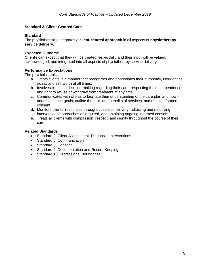### <span id="page-7-0"></span>**Standard 3. Client-Centred Care**

#### **Standard**

The physiotherapist integrates a **client-centred approach** in all aspects of **physiotherapy service delivery.**

#### **Expected Outcome**

**Clients** can expect that they will be treated respectfully and their input will be valued, acknowledged, and integrated into all aspects of physiotherapy service delivery.

#### **Performance Expectations**

The physiotherapist:

- a. Treats clients in a manner that recognizes and appreciates their autonomy, uniqueness, goals, and self-worth at all times.
- b. Involves clients in decision-making regarding their care, respecting their independence and right to refuse or withdraw from treatment at any time.
- c. Communicates with clients to facilitate their understanding of the care plan and how it addresses their goals; outline the risks and benefits of services; and obtain informed consent.
- d. Monitors clients' responses throughout service delivery, adjusting and modifying interventions/approaches as required, and obtaining ongoing informed consent.
- e. Treats all clients with compassion, respect, and dignity throughout the course of their care.

- Standard 2. Client Assessment, Diagnosis, Interventions
- Standard 5. Communication
- Standard 8. Consent
- Standard 9. Documentation and Record Keeping
- Standard 15. Professional Boundaries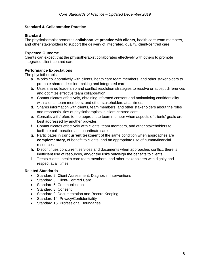# <span id="page-8-0"></span>**Standard 4. Collaborative Practice**

### **Standard**

The physiotherapist promotes **collaborative practice** with **clients**, health care team members, and other stakeholders to support the delivery of integrated, quality, client-centred care.

# **Expected Outcome**

Clients can expect that the physiotherapist collaborates effectively with others to promote integrated client-centred care.

# **Performance Expectations**

The physiotherapist:

- a. Works collaboratively with clients, heath care team members, and other stakeholders to promote shared decision-making and integrated care.
- b. Uses shared leadership and conflict resolution strategies to resolve or accept differences and optimize effective team collaboration.
- c. Communicates effectively, obtaining informed consent and maintaining confidentiality with clients, team members, and other stakeholders at all times.
- d. Shares information with clients, team members, and other stakeholders about the roles and responsibilities of physiotherapists in client-centred care.
- e. Consults with/refers to the appropriate team member when aspects of clients' goals are best addressed by another provider.
- f. Communicates effectively with clients, team members, and other stakeholders to facilitate collaboration and coordinate care.
- g. Participates in **concurrent treatment** of the same condition when approaches are **complementary**, of benefit to clients, and an appropriate use of human/financial resources.
- h. Discontinues concurrent services and documents when approaches conflict, there is inefficient use of resources, and/or the risks outweigh the benefits to clients.
- i. Treats clients, health care team members, and other stakeholders with dignity and respect at all times.

- Standard 2. Client Assessment, Diagnosis, Interventions
- Standard 3. Client-Centred Care
- Standard 5. Communication
- Standard 8. Consent
- Standard 9. Documentation and Record Keeping
- Standard 14. Privacy/Confidentiality
- Standard 15. Professional Boundaries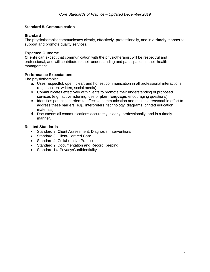### <span id="page-9-0"></span>**Standard 5. Communication**

#### **Standard**

The physiotherapist communicates clearly, effectively, professionally, and in a **timely** manner to support and promote quality services.

#### **Expected Outcome**

**Clients** can expect that communication with the physiotherapist will be respectful and professional, and will contribute to their understanding and participation in their health management.

#### **Performance Expectations**

The physiotherapist:

- a. Uses respectful, open, clear, and honest communication in all professional interactions (e.g., spoken, written, social media).
- b. Communicates effectively with clients to promote their understanding of proposed services (e.g., active listening, use of **plain language**, encouraging questions).
- c. Identifies potential barriers to effective communication and makes a reasonable effort to address these barriers (e.g., interpreters, technology, diagrams, printed education materials).
- d. Documents all communications accurately, clearly, professionally, and in a timely manner.

- Standard 2. Client Assessment, Diagnosis, Interventions
- Standard 3. Client-Centred Care
- Standard 4, Collaborative Practice
- Standard 9. Documentation and Record Keeping
- <span id="page-9-1"></span>• Standard 14. Privacy/Confidentiality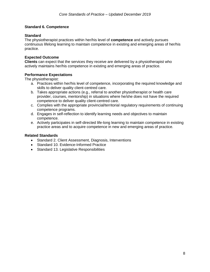### **Standard 6. Competence**

#### **Standard**

The physiotherapist practices within her/his level of **competence** and actively pursues continuous lifelong learning to maintain competence in existing and emerging areas of her/his practice.

### **Expected Outcome**

**Clients** can expect that the services they receive are delivered by a physiotherapist who actively maintains her/his competence in existing and emerging areas of practice.

### **Performance Expectations**

The physiotherapist:

- a. Practices within her/his level of competence, incorporating the required knowledge and skills to deliver quality client-centred care.
- b. Takes appropriate actions (e.g., referral to another physiotherapist or health care provider, courses, mentorship) in situations where he/she does not have the required competence to deliver quality client-centred care.
- c. Complies with the appropriate provincial/territorial regulatory requirements of continuing competence programs.
- d. Engages in self-reflection to identify learning needs and objectives to maintain competence.
- e. Actively participates in self-directed life-long learning to maintain competence in existing practice areas and to acquire competence in new and emerging areas of practice.

- Standard 2. Client Assessment, Diagnosis, Interventions
- Standard 10. Evidence-Informed Practice
- Standard 13. Legislative Responsibilities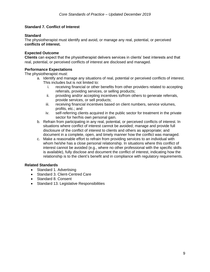# <span id="page-11-0"></span>**Standard 7. Conflict of Interest**

# **Standard**

The physiotherapist must identify and avoid, or manage any real, potential, or perceived **conflicts of interest.**

### **Expected Outcome**

**Clients** can expect that the physiotherapist delivers services in clients' best interests and that real, potential, or perceived conflicts of interest are disclosed and managed.

# **Performance Expectations**

The physiotherapist must:

- a. Identify and manage any situations of real, potential or perceived conflicts of interest. This includes but is not limited to:
	- i. receiving financial or other benefits from other providers related to accepting referrals, providing services, or selling products;
	- ii. providing and/or accepting incentives to/from others to generate referrals, provide services, or sell products;
	- iii. receiving financial incentives based on client numbers, service volumes, profits, etc.; and
	- iv. self-referring clients acquired in the public sector for treatment in the private sector for her/his own personal gain.
- b. Refrain from participating in any real, potential, or perceived conflicts of interest. In situations where conflict of interest cannot be avoided; manage and provide full disclosure of the conflict of interest to clients and others as appropriate; and document in a complete, open, and timely manner how the conflict was managed.
- c. Make a reasonable effort to refrain from providing services to an individual with whom he/she has a close personal relationship. In situations where this conflict of interest cannot be avoided (e.g., where no other professional with the specific skills is available), fully disclose and document the conflict of interest, indicating how the relationship is to the client's benefit and in compliance with regulatory requirements.

- Standard 1. Advertising
- Standard 3. Client-Centred Care
- Standard 8. Consent
- <span id="page-11-1"></span>• Standard 13. Legislative Responsibilities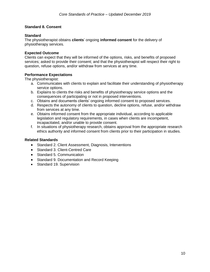### **Standard 8. Consent**

#### **Standard**

The physiotherapist obtains **clients**' ongoing **informed consent** for the delivery of physiotherapy services.

#### **Expected Outcome**

Clients can expect that they will be informed of the options, risks, and benefits of proposed services; asked to provide their consent; and that the physiotherapist will respect their right to question, refuse options, and/or withdraw from services at any time.

#### **Performance Expectations**

The physiotherapist:

- a. Communicates with clients to explain and facilitate their understanding of physiotherapy service options.
- b. Explains to clients the risks and benefits of physiotherapy service options and the consequences of participating or not in proposed interventions.
- c. Obtains and documents clients' ongoing informed consent to proposed services.
- d. Respects the autonomy of clients to question, decline options, refuse, and/or withdraw from services at any time.
- e. Obtains informed consent from the appropriate individual, according to applicable legislation and regulatory requirements, in cases when clients are incompetent, incapacitated, and/or unable to provide consent.
- f. In situations of physiotherapy research, obtains approval from the appropriate research ethics authority and informed consent from clients prior to their participation in studies.

- Standard 2. Client Assessment, Diagnosis, Interventions
- Standard 3. Client-Centred Care
- Standard 5. Communication
- Standard 9. Documentation and Record Keeping
- <span id="page-12-0"></span>• Standard 19. Supervision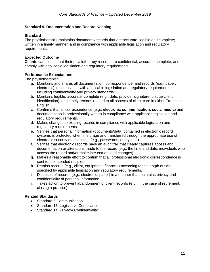### **Standard 9. Documentation and Record Keeping**

#### **Standard**

The physiotherapist maintains documents/records that are accurate, legible and complete; written in a timely manner; and in compliance with applicable legislation and regulatory requirements.

#### **Expected Outcome**

**Clients** can expect that their physiotherapy records are confidential, accurate, complete, and comply with applicable legislation and regulatory requirements.

#### **Performance Expectations**

The physiotherapist:

- a. Maintains and shares all documentation, correspondence, and records (e.g., paper, electronic) in compliance with applicable legislation and regulatory requirements including confidentiality and privacy standards.
- b. Maintains legible, accurate, complete (e.g., date, provider signature, unique client identification), and timely records related to all aspects of client care in either French or English.
- c. Confirms that all correspondence (e.g., **electronic communication, social media**) and documentation is professionally written in compliance with applicable legislation and regulatory requirements.
- d. Makes changes to existing records in compliance with applicable legislation and regulatory requirements.
- e. Verifies that personal information (documents/data) contained in electronic record systems is protected when in storage and transferred through the appropriate use of electronic security mechanisms (e.g., passwords, encryption).
- f. Verifies that electronic records have an audit trail that clearly captures access and documentation or alterations made to the record (e.g., the time and date, individuals who access the record and/or make late entries, and changes).
- g. Makes a reasonable effort to confirm that all professional electronic correspondence is sent to the intended recipient.
- h. Retains records (e.g., client, equipment, financial) according to the length of time specified by applicable legislation and regulatory requirements.
- i. Disposes of records (e.g., electronic, paper) in a manner that maintains privacy and confidentiality of personal information.
- j. Takes action to prevent abandonment of client records (e.g., in the case of retirement, closing a practice).

- Standard 5 Communication
- Standard 13. Legislative Compliance
- Standard 14. Privacy/ Confidentiality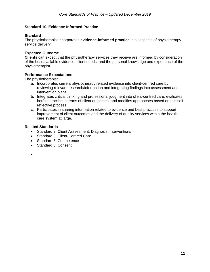### <span id="page-14-0"></span>**Standard 10. Evidence-Informed Practice**

#### **Standard**

The physiotherapist incorporates **evidence-informed practice** in all aspects of physiotherapy service delivery.

#### **Expected Outcome**

**Clients** can expect that the physiotherapy services they receive are informed by consideration of the best available evidence, client needs, and the personal knowledge and experience of the physiotherapist.

#### **Performance Expectations**

The physiotherapist:

- a. Incorporates current physiotherapy related evidence into client-centred care by reviewing relevant research/information and integrating findings into assessment and intervention plans.
- b. Integrates critical thinking and professional judgment into client-centred care, evaluates her/his practice in terms of client outcomes, and modifies approaches based on this selfreflective process.
- c. Participates in sharing information related to evidence and best practices to support improvement of client outcomes and the delivery of quality services within the health care system at large.

#### **Related Standards**

- Standard 2. Client Assessment, Diagnosis, Interventions
- Standard 3. Client-Centred Care
- Standard 6. Competence
- Standard 8. Consent

•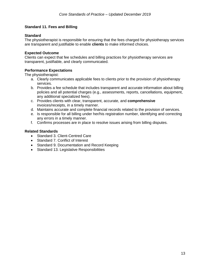### <span id="page-15-0"></span>**Standard 11. Fees and Billing**

#### **Standard**

The physiotherapist is responsible for ensuring that the fees charged for physiotherapy services are transparent and justifiable to enable **clients** to make informed choices.

#### **Expected Outcome**

Clients can expect that fee schedules and billing practices for physiotherapy services are transparent, justifiable, and clearly communicated.

#### **Performance Expectations**

The physiotherapist:

- a. Clearly communicates applicable fees to clients prior to the provision of physiotherapy services.
- b. Provides a fee schedule that includes transparent and accurate information about billing policies and all potential charges (e.g., assessments, reports, cancellations, equipment, any additional specialized fees).
- c. Provides clients with clear, transparent, accurate, and **comprehensive** invoices/receipts, in a timely manner.
- d. Maintains accurate and complete financial records related to the provision of services.
- e. Is responsible for all billing under her/his registration number, identifying and correcting any errors in a timely manner.
- f. Confirms processes are in place to resolve issues arising from billing disputes.

- Standard 3. Client-Centred Care
- Standard 7. Conflict of Interest
- Standard 9. Documentation and Record Keeping
- Standard 13. Legislative Responsibilities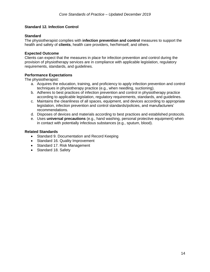### <span id="page-16-0"></span>**Standard 12. Infection Control**

#### **Standard**

The physiotherapist complies with **infection prevention and control** measures to support the health and safety of **clients**, health care providers, her/himself, and others.

#### **Expected Outcome**

Clients can expect that the measures in place for infection prevention and control during the provision of physiotherapy services are in compliance with applicable legislation, regulatory requirements, standards, and guidelines.

#### **Performance Expectations**

The physiotherapist:

- a. Acquires the education, training, and proficiency to apply infection prevention and control techniques in physiotherapy practice (e.g., when needling, suctioning).
- b. Adheres to best practices of infection prevention and control in physiotherapy practice according to applicable legislation, regulatory requirements, standards, and guidelines.
- c. Maintains the cleanliness of all spaces, equipment, and devices according to appropriate legislation, infection prevention and control standards/policies, and manufacturers' recommendations.
- d. Disposes of devices and materials according to best practices and established protocols.
- e. Uses **universal precautions** (e.g., hand washing, personal protective equipment) when in contact with potentially infectious substances (e.g., sputum, blood).

- Standard 9. Documentation and Record Keeping
- Standard 16. Quality Improvement
- Standard 17. Risk Management
- Standard 18. Safety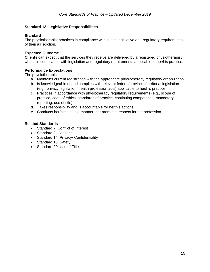### <span id="page-17-0"></span>**Standard 13. Legislative Responsibilities**

#### **Standard**

The physiotherapist practices in compliance with all the legislative and regulatory requirements of their jurisdiction.

#### **Expected Outcome**

**Clients** can expect that the services they receive are delivered by a registered physiotherapist who is in compliance with legislation and regulatory requirements applicable to her/his practice.

### **Performance Expectations**

The physiotherapist:

- a. Maintains current registration with the appropriate physiotherapy regulatory organization.
- b. Is knowledgeable of and complies with relevant federal/provincial/territorial legislation (e.g., privacy legislation, health profession acts) applicable to her/his practice.
- c. Practices in accordance with physiotherapy regulatory requirements (e.g., scope of practice, code of ethics, standards of practice, continuing competence, mandatory reporting, use of title).
- d. Takes responsibility and is accountable for her/his actions.
- e. Conducts her/himself in a manner that promotes respect for the profession.

- Standard 7. Conflict of Interest
- Standard 8. Consent
- Standard 14. Privacy/ Confidentiality
- Standard 18. Safety
- Standard 20. Use of Title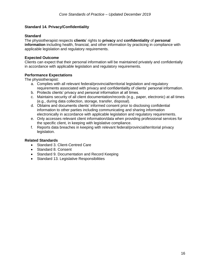### <span id="page-18-0"></span>**Standard 14. Privacy/Confidentiality**

#### **Standard**

The physiotherapist respects **clients**' rights to **privacy** and **confidentiality** of **personal information** including health, financial, and other information by practicing in compliance with applicable legislation and regulatory requirements.

#### **Expected Outcome**

Clients can expect that their personal information will be maintained privately and confidentially in accordance with applicable legislation and regulatory requirements.

### **Performance Expectations**

The physiotherapist:

- a. Complies with all relevant federal/provincial/territorial legislation and regulatory requirements associated with privacy and confidentiality of clients' personal information.
- b. Protects clients' privacy and personal information at all times.
- c. Maintains security of all client documentation/records (e.g., paper, electronic) at all times (e.g., during data collection, storage, transfer, disposal).
- d. Obtains and documents clients' informed consent prior to disclosing confidential information to other parties including communicating and sharing information electronically in accordance with applicable legislation and regulatory requirements.
- e. Only accesses relevant client information/data when providing professional services for the specific client, in keeping with legislative compliance.
- f. Reports data breaches in keeping with relevant federal/provincial/territorial privacy legislation.

- Standard 3. Client-Centred Care
- Standard 8. Consent
- Standard 9. Documentation and Record Keeping
- Standard 13. Legislative Responsibilities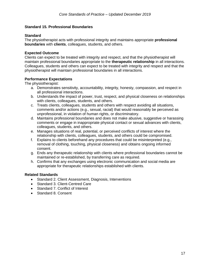### <span id="page-19-0"></span>**Standard 15. Professional Boundaries**

#### **Standard**

The physiotherapist acts with professional integrity and maintains appropriate **professional boundaries** with **clients**, colleagues, students, and others.

### **Expected Outcome**

Clients can expect to be treated with integrity and respect, and that the physiotherapist will maintain professional boundaries appropriate to the **therapeutic relationship** in all interactions. Colleagues, students and others can expect to be treated with integrity and respect and that the physiotherapist will maintain professional boundaries in all interactions.

### **Performance Expectations**

The physiotherapist:

- a. Demonstrates sensitivity, accountability, integrity, honesty, compassion, and respect in all professional interactions.
- b. Understands the impact of power, trust, respect, and physical closeness on relationships with clients, colleagues, students, and others.
- c. Treats clients, colleagues, students and others with respect avoiding all situations, comments and/or actions (e.g., sexual, racial) that would reasonably be perceived as unprofessional, in violation of human rights, or discriminatory.
- d. Maintains professional boundaries and does not make abusive, suggestive or harassing comments or engage in inappropriate physical contact or sexual advances with clients, colleagues, students, and others.
- e. Manages situations of real, potential, or perceived conflicts of interest where the relationship with clients, colleagues, students, and others could be compromised.
- f. Explains to clients beforehand any procedures that could be misinterpreted (e.g., removal of clothing, touching, physical closeness) and obtains ongoing informed consent.
- g. Ends any therapeutic relationship with clients where professional boundaries cannot be maintained or re-established, by transferring care as required.
- h. Confirms that any exchanges using electronic communication and social media are appropriate for therapeutic relationships established with clients.

- Standard 2. Client Assessment, Diagnosis, Interventions
- Standard 3. Client-Centred Care
- Standard 7. Conflict of Interest
- Standard 8. Consent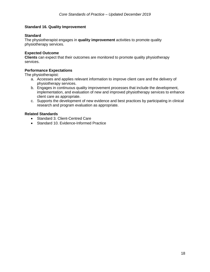### <span id="page-20-0"></span>**Standard 16. Quality Improvement**

#### **Standard**

The physiotherapist engages in **quality improvement** activities to promote quality physiotherapy services.

#### **Expected Outcome**

**Clients** can expect that their outcomes are monitored to promote quality physiotherapy services.

### **Performance Expectations**

The physiotherapist:

- a. Accesses and applies relevant information to improve client care and the delivery of physiotherapy services.
- b. Engages in continuous quality improvement processes that include the development, implementation, and evaluation of new and improved physiotherapy services to enhance client care as appropriate.
- c. Supports the development of new evidence and best practices by participating in clinical research and program evaluation as appropriate.

- Standard 3. Client-Centred Care
- <span id="page-20-1"></span>• Standard 10. Evidence-Informed Practice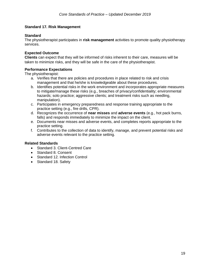### **Standard 17. Risk Management**

#### **Standard**

The physiotherapist participates in **risk management** activities to promote quality physiotherapy services.

#### **Expected Outcome**

**Clients** can expect that they will be informed of risks inherent to their care, measures will be taken to minimize risks, and they will be safe in the care of the physiotherapist.

#### **Performance Expectations**

The physiotherapist:

- a. Verifies that there are policies and procedures in place related to risk and crisis management and that he/she is knowledgeable about these procedures.
- b. Identifies potential risks in the work environment and incorporates appropriate measures to mitigate/manage these risks (e.g., breaches of privacy/confidentiality; environmental hazards; solo practice; aggressive clients; and treatment risks such as needling, manipulation).
- c. Participates in emergency preparedness and response training appropriate to the practice setting (e.g., fire drills, CPR).
- d. Recognizes the occurrence of **near misses** and **adverse events** (e.g., hot pack burns, falls) and responds immediately to minimize the impact on the client.
- e. Documents near misses and adverse events, and completes reports appropriate to the practice setting.
- f. Contributes to the collection of data to identify, manage, and prevent potential risks and adverse events relevant to the practice setting.

- Standard 3. Client-Centred Care
- Standard 8. Consent
- Standard 12. Infection Control
- Standard 18. Safety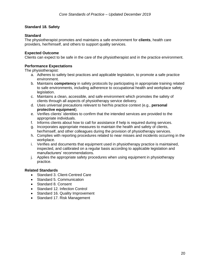# <span id="page-22-0"></span>**Standard 18. Safety**

# **Standard**

The physiotherapist promotes and maintains a safe environment for **clients**, health care providers, her/himself, and others to support quality services.

# **Expected Outcome**

Clients can expect to be safe in the care of the physiotherapist and in the practice environment.

# **Performance Expectations**

The physiotherapist:

- a. Adheres to safety best practices and applicable legislation, to promote a safe practice environment.
- b. Maintains **competency** in safety protocols by participating in appropriate training related to safe environments, including adherence to occupational health and workplace safety legislation.
- c. Maintains a clean, accessible, and safe environment which promotes the safety of clients through all aspects of physiotherapy service delivery.
- d. Uses universal precautions relevant to her/his practice context (e.g., **personal protective equipment**).
- e. Verifies clients' identities to confirm that the intended services are provided to the appropriate individuals.
- f. Informs clients about how to call for assistance if help is required during services.
- g. Incorporates appropriate measures to maintain the health and safety of clients, her/himself, and other colleagues during the provision of physiotherapy services.
- h. Complies with reporting procedures related to near misses and incidents occurring in the workplace.
- i. Verifies and documents that equipment used in physiotherapy practice is maintained, inspected, and calibrated on a regular basis according to applicable legislation and manufacturers' recommendations.
- j. Applies the appropriate safety procedures when using equipment in physiotherapy practice.

- Standard 3. Client-Centred Care
- Standard 5. Communication
- Standard 8. Consent
- Standard 12. Infection Control
- Standard 16. Quality Improvement
- Standard 17. Risk Management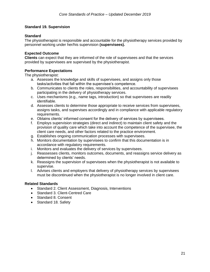### <span id="page-23-0"></span>**Standard 19. Supervision**

### **Standard**

The physiotherapist is responsible and accountable for the physiotherapy services provided by personnel working under her/his supervision **(supervisees).** 

### **Expected Outcome**

**Clients** can expect that they are informed of the role of supervisees and that the services provided by supervisees are supervised by the physiotherapist.

# **Performance Expectations**

The physiotherapist:

- a. Assesses the knowledge and skills of supervisees, and assigns only those tasks/activities that fall within the supervisee's competence.
- b. Communicates to clients the roles, responsibilities, and accountability of supervisees participating in the delivery of physiotherapy services.
- c. Uses mechanisms (e.g., name tags, introduction) so that supervisees are readily identifiable.
- d. Assesses clients to determine those appropriate to receive services from supervisees, assigns tasks, and supervises accordingly and in compliance with applicable regulatory requirements.
- e. Obtains clients' informed consent for the delivery of services by supervisees.
- f. Employs supervision strategies (direct and indirect) to maintain client safety and the provision of quality care which take into account the competence of the supervisee, the client care needs, and other factors related to the practice environment.
- g. Establishes ongoing communication processes with supervisees.
- h. Monitors documentation by supervisees to confirm that this documentation is in accordance with regulatory requirements.
- i. Monitors and evaluates the delivery of services by supervisees.
- j. Reassesses clients, monitors outcomes, documents, and reassigns service delivery as determined by clients' needs.
- k. Reassigns the supervision of supervisees when the physiotherapist is not available to supervise.
- l. Advises clients and employers that delivery of physiotherapy services by supervisees must be discontinued when the physiotherapist is no longer involved in client care.

- Standard 2. Client Assessment, Diagnosis, Interventions
- Standard 3. Client-Centred Care
- Standard 8. Consent
- Standard 18. Safety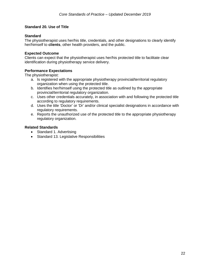### <span id="page-24-0"></span>**Standard 20. Use of Title**

### **Standard**

The physiotherapist uses her/his title, credentials, and other designations to clearly identify her/himself to **clients**, other health providers, and the public.

#### **Expected Outcome**

Clients can expect that the physiotherapist uses her/his protected title to facilitate clear identification during physiotherapy service delivery.

# **Performance Expectations**

The physiotherapist:

- a. Is registered with the appropriate physiotherapy provincial/territorial regulatory organization when using the protected title.
- b. Identifies her/himself using the protected title as outlined by the appropriate provincial/territorial regulatory organization.
- c. Uses other credentials accurately, in association with and following the protected title according to regulatory requirements.
- d. Uses the title 'Doctor' or 'Dr' and/or clinical specialist designations in accordance with regulatory requirements.
- e. Reports the unauthorized use of the protected title to the appropriate physiotherapy regulatory organization.

- Standard 1. Advertising
- <span id="page-24-1"></span>• Standard 13. Legislative Responsibilities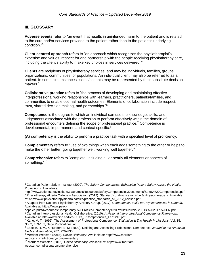# **III. GLOSSARY**

**Adverse events** refer to "an event that results in unintended harm to the patient and is related to the care and/or services provided to the patient rather than to the patient's underlying condition."<sup>3</sup>

**Client-centred approach** refers to "an approach which recognizes the physiotherapist's expertise and values, respect for and partnership with the people receiving physiotherapy care, including the client's ability to make key choices in services delivered."<sup>4</sup>

**Clients** are recipients of physiotherapy services, and may be individuals, families, groups, organizations, communities, or populations. An individual client may also be referred to as a patient. In some circumstances clients/patients may be represented by their substitute decisionmakers.<sup>5</sup>

**Collaborative practice** refers to "the process of developing and maintaining effective interprofessional working relationships with learners, practitioners, patients/families, and communities to enable optimal health outcomes. Elements of collaboration include respect, trust, shared decision making, and partnerships."<sup>6</sup>

**Competence** is the degree to which an individual can use the knowledge, skills, and judgements associated with the profession to perform effectively within the domain of professional encounters defining the scope of professional practice.<sup>7</sup> Competence is developmental, impermanent, and context-specific.<sup>8</sup>

**(A) competency** is the ability to perform a practice task with a specified level of proficiency.

**Complementary** refers to "use of two things when each adds something to the other or helps to make the other better: going together well: working well together."<sup>9</sup>

**Comprehensive** refers to "complete; including all or nearly all elements or aspects of something."<sup>10</sup>

 $\overline{a}$ <sup>3</sup> Canadian Patient Safety Institute. (2009). *The Safety Competencies: Enhancing Patient Safety Across the Health Professions.* Available at:

http://www.patientsafetyinstitute.ca/en/toolsResources/safetyCompetencies/Documents/Safety%20Competencies.pdf <sup>4</sup> Physiotherapy Alberta College + Association. (2012). *Standards of Practice for Alberta Physiotherapists*. Available at: http://www.physiotherapyalberta.ca/files/practice\_standards\_all\_2012\_revised.pdf

<sup>5</sup> Adapted from National Physiotherapy Advisory Group. (2017). *Competency Profile for Physiotherapists in Canada*. Available at: https://www.peac-

aepc.ca/pdfs/Resources/Competency%20Profiles/Competency%20Profile%20for%20PTs%202017%20EN.pdf <sup>6</sup> Canadian Interprofessional Health Collaborative. (2010). *A National Interprofessional Competency Framework*. Available at: http://www.cihc.ca/files/CIHC\_IPCompetencies\_Feb1210.pdf

<sup>7</sup> Kane, M. T. (1992). The Assessment of Professional Competence. *Evaluation & The Health Professions*, Vol. 15, No. 2, 163-182, Sage Publications Inc.

<sup>8</sup> Epstein, R. M., & Hundert, E. M. (2002). Defining and Assessing Professional Competence. *Journal of the American Medical Association*, 287, 226–235.

<sup>9</sup> Merriam-Webster. (2015). *Online Dictionary*. Available at: http://www.merriamwebster.com/dictionary/complementary

<sup>10</sup> Merriam-Webster. (2015). *Online Dictionary*. Available at: http://www.merriamwebster.com/dictionary/comprehensive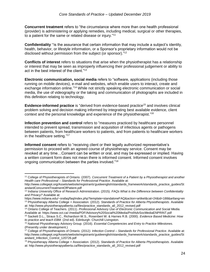**Concurrent treatment** refers to "the circumstance where more than one health professional (provider) is administering or applying remedies, including medical, surgical or other therapies, to a patient for the same or related disease or injury."<sup>11</sup>

**Confidentiality** "is the assurance that certain information that may include a subject's identity, health, behavior, or lifestyle information, or a Sponsor's proprietary information would not be disclosed without permission from the subject (or sponsor)."<sup>12</sup>

**Conflicts of interest** refers to situations that arise when the physiotherapist has a relationship or interest that may be seen as improperly influencing their professional judgement or ability to act in the best interest of the client."<sup>13</sup>

**Electronic communication, social media** refers to "software, applications (including those running on mobile devices), e-mail and websites, which enable users to interact, create and exchange information online."<sup>14</sup> While not strictly speaking electronic communication or social media, the use of videography or the taking and communication of photographs are included in this definition relating to technology.

**Evidence-informed practice** is "derived from evidence-based practice<sup>15</sup> and involves clinical problem solving and decision making informed by integrating best available evidence, client context and the personal knowledge and experience of the physiotherapist."<sup>16</sup>

**Infection prevention and control** refers to "measures practiced by healthcare personnel intended to prevent spread, transmission and acquisition of infectious agents or pathogens between patients, from healthcare workers to patients, and from patients to healthcare workers in the healthcare setting."<sup>17</sup>

**Informed consent** refers to "receiving client or their legally authorized representative's permission to proceed with an agreed course of physiotherapy service. Consent may be revoked at any time…Consent can be written or oral, and may be expressed or implied. Having a written consent form does not mean there is informed consent. Informed consent involves ongoing communication between the parties involved."<sup>18</sup>

at: http://www.physiotherapyalberta.ca/files/practice\_standards\_all\_2012\_revised.pdf

 $\overline{a}$ <sup>11</sup> College of Physiotherapists of Ontario. (2007). *Concurrent Treatment of a Patient by a Physiotherapist and another Health care Professional – Standards for Professional Practice*. Available at:

http://www.collegept.org/Assets/website/registrants'guideenglish/standards\_framework/standards\_practice\_guides/St andardConcurrentTreatmentOfPatient.pdf

<sup>12</sup> Indiana University Office of Research Administration. (2015). *FAQs What is the Difference between Confidentiality and Privacy?* Available at:

https://www.indiana.edu/~orafaq/faq/index.php?template=standaloneFAQ&action=artikel&cat=24&id=188&artlang=en <sup>13</sup> Physiotherapy Alberta College + Association. (2012). *Standards of Practice for Alberta Physiotherapists*. Available

<sup>14</sup> Ontario College of Teachers. (2011). *Professional Advisory Use of Electronic Communication and Social Media.* Available at: https://www.oct.ca/-/media/PDF/Advisory%20Social%20Media/ProfAdvSocMediaENPRINT.pdf

<sup>15</sup> Sackett D.L., Straus S.C., Richardson W.S., Rosenbert W. & Harnes R.B. (2000). *Evidence Based Medicine: How to practice and teach EBM.* (2nd ed). Edinburgh: Churchill Livingston.

<sup>16</sup> National Physiotherapy Advisory Group. (2016). *Essential Competencies and Entry to Practice Milestones*. (Presently under development.)

<sup>17</sup> College of Physiotherapists of Ontario. (2012*). Infection Control – Standards for Professional Practice*. Available at: http://www.collegept.org/Assets/website/registrants'guideenglish/standards\_framework/standards\_practice\_guides/St andard\_Infection\_Control\_120726.pdf

<sup>18</sup> Physiotherapy Alberta College + Association. (2012). *Standards of Practice for Alberta Physiotherapists*. Available at: http://www.physiotherapyalberta.ca/files/practice\_standards\_all\_2012\_revised.pdf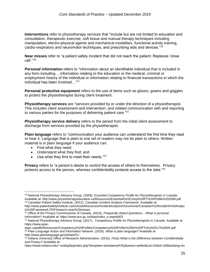**Interventions** refer to physiotherapy services that "include but are not limited to education and consultation, therapeutic exercise, soft tissue and manual therapy techniques including manipulation, electro-physical agents and mechanical modalities, functional activity training, cardio-respiratory and neuromotor techniques, and prescribing aids and devices."<sup>19</sup>

**Near misses** refer to "a patient safety incident that did not reach the patient. Replaces 'close call'."<sup>20</sup>

**Personal information** refers to "information about an identifiable individual that is included in any form including….information relating to the education or the medical, criminal or employment history of the individual or information relating to financial transactions in which the individual has been involved…"<sup>21</sup>

**Personal protective equipment** refers to the use of items such as gloves, gowns and goggles to protect the physiotherapist during client treatment.

**Physiotherapy services** are "services provided by or under the direction of a physiotherapist. This includes client assessment and intervention, and related communication with and reporting to various parties for the purposes of delivering patient care."<sup>22</sup>

**Physiotherapy service delivery** refers to the period from the initial client assessment to discharge from services provided by the physiotherapist.

**Plain language** refers to "communication your audience can understand the first time they read or hear it. Language that is plain to one set of readers may not be plain to others. Written material is in plain language if your audience can:

• Find what they need;

 $\overline{a}$ 

- Understand what they find; and
- $\bullet$  Use what they find to meet their needs."<sup>23</sup>

**Privacy** refers to "a person's desire to control the access of others to themselves. Privacy protects access to the person, whereas confidentiality protects access to the data."<sup>24</sup>

<sup>19</sup> National Physiotherapy Advisory Group. (2009). *Essential Competency Profile for Physiotherapists in Canada*. Available at[: http://www.physiotherapyeducation.ca/Resources/Essential%20Comp%20PT%20Profile%202009.pdf](http://www.physiotherapyeducation.ca/Resources/Essential%20Comp%20PT%20Profile%202009.pdf) <sup>20</sup> Canadian Patient Safety Institute. (2012). *Canadian Incident Analysis Framework*. Available at:

http://www.patientsafetyinstitute.ca/en/toolsResources/IncidentAnalysis/Documents/Canadian%20Incident%20Analys is%20Framework.PDF#search=near%20misses

<sup>21</sup> Office of the Privacy Commissioner of Canada. (2015). *Frequently Asked Questions – What is personal information?* Available at: https://www.priv.gc.ca/faqs/index\_e.asp#q003

<sup>22</sup> National Physiotherapy Advisory Group. (2017). *Competency Profile for Physiotherapists in Canada.* Available at: https://www.peac-

aepc.ca/pdfs/Resources/Competency%20Profiles/Competency%20Profile%20for%20PTs%202017%20EN.pdf <sup>23</sup> Plain Language Action and Information Network. (2016). *What is plain language?* Available at: http://www.plainlanguage.gov/whatisPL/

<sup>24</sup> Indiana University Office of Research Administration. (2015). *FAQs What is the Difference between Confidentiality and Privacy?* Available at:

https://www.indiana.edu/~orafaq/faq/index.php?template=standaloneFAQ&action=artikel&cat=24&id=188&artlang=en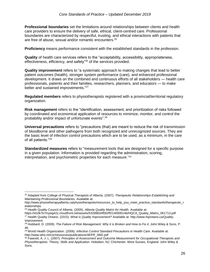**Professional boundaries** set the limitations around relationships between clients and health care providers to ensure the delivery of safe, ethical, client-centred care. Professional boundaries are characterized by respectful, trusting, and ethical interactions with patients that are free of abuse, sexual and/or romantic encounters.<sup>25</sup>

**Proficiency** means performance consistent with the established standards in the profession.

**Quality** of health care services refers to the "acceptability, accessibility, appropriateness, effectiveness, efficiency, and safety"<sup>26</sup> of the services provided.

**Quality improvement** refers to "a systematic approach to making changes that lead to better patient outcomes (health), stronger system performance (care), and enhanced professional development. It draws on the combined and continuous efforts of all stakeholders — health care professionals, patients and their families, researchers, planners, and educators — to make better and sustained improvements."<sup>27</sup>

**Regulated members** refers to physiotherapists registered with a provincial/territorial regulatory organization.

**Risk management** refers to the "identification, assessment, and prioritization of risks followed by coordinated and economical application of resources to minimize, monitor, and control the probability and/or impact of unfortunate events".<sup>28</sup>

**Universal precautions** refers to "precautions (that) are meant to reduce the risk of transmission of bloodborne and other pathogens from both recognized and unrecognized sources. They are the basic level of infection control precautions which are to be used, as a minimum, in the care of all patients."<sup>29</sup>

**Standardized measures** refers to "measurement tools that are designed for a specific purpose in a given population. Information is provided regarding the administration, scoring, interpretation, and psychometric properties for each measure."<sup>30</sup>

 $\overline{a}$ 

<sup>25</sup> Adapted from College of Physical Therapists of Alberta. (2007). *Therapeutic Relationships Establishing and Maintaining Professional Boundaries.* Available at:

http://www.physiotherapyalberta.ca/physiotherapists/resources\_to\_help\_you\_meet\_practice\_standards/therapeutic\_r elationships

<sup>26</sup> Health Quality Council of Alberta. (2005). *Alberta Quality Matrix for Health*. Available at:

https://d10k7k7mywg42z.cloudfront.net/assets/53288634f002ff214000014b/HQCA\_Quality\_Matrix\_061713.pdf <sup>27</sup> Health Quality Ontario. (2015). *What is Quality Improvement*? Available at: http://www.hqontario.ca/Quality-Improvement

<sup>28</sup> Hubbard, D. (2009). *The Failure of Risk Management: Why it is Broken and How to Fix it*. John Wiley & Sons. P. 46.

<sup>29</sup> World Health Organization. (2006). *Infection Control Standard Precautions in Health Care*. Available at: http://www.who.int/csr/resources/publications/4EPR\_AM2.pdf

<sup>30</sup> Fawcett, A. J. L. (2007). *Principles of Assessment and Outcome Measurement for Occupational Therapists and Physiotherapists: Theory, Skills and Application*. Hoboken, NJ; Chichester, West Sussex, England: John Wiley & Sons.